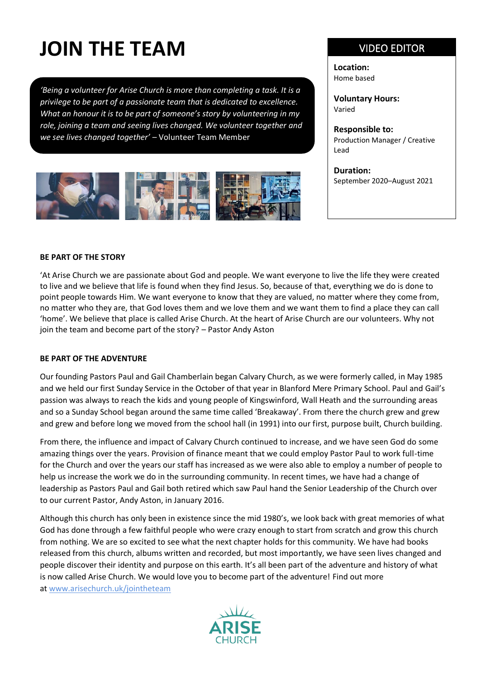# **JOIN THE TEAM**

*'Being a volunteer for Arise Church is more than completing a task. It is a privilege to be part of a passionate team that is dedicated to excellence. What an honour it is to be part of someone's story by volunteering in my role, joining a team and seeing lives changed. We volunteer together and we see lives changed together'* – Volunteer Team Member



### VIDEO EDITOR

**Location:** Home based

**Voluntary Hours:** Varied

**Responsible to:**  Production Manager / Creative Lead

**Duration:** September 2020–August 2021

### **BE PART OF THE STORY**

'At Arise Church we are passionate about God and people. We want everyone to live the life they were created to live and we believe that life is found when they find Jesus. So, because of that, everything we do is done to point people towards Him. We want everyone to know that they are valued, no matter where they come from, no matter who they are, that God loves them and we love them and we want them to find a place they can call 'home'. We believe that place is called Arise Church. At the heart of Arise Church are our volunteers. Why not join the team and become part of the story? – Pastor Andy Aston

#### **BE PART OF THE ADVENTURE**

Our founding Pastors Paul and Gail Chamberlain began Calvary Church, as we were formerly called, in May 1985 and we held our first Sunday Service in the October of that year in Blanford Mere Primary School. Paul and Gail's passion was always to reach the kids and young people of Kingswinford, Wall Heath and the surrounding areas and so a Sunday School began around the same time called 'Breakaway'. From there the church grew and grew and grew and before long we moved from the school hall (in 1991) into our first, purpose built, Church building.

From there, the influence and impact of Calvary Church continued to increase, and we have seen God do some amazing things over the years. Provision of finance meant that we could employ Pastor Paul to work full-time for the Church and over the years our staff has increased as we were also able to employ a number of people to help us increase the work we do in the surrounding community. In recent times, we have had a change of leadership as Pastors Paul and Gail both retired which saw Paul hand the Senior Leadership of the Church over to our current Pastor, Andy Aston, in January 2016.

Although this church has only been in existence since the mid 1980's, we look back with great memories of what God has done through a few faithful people who were crazy enough to start from scratch and grow this church from nothing. We are so excited to see what the next chapter holds for this community. We have had books released from this church, albums written and recorded, but most importantly, we have seen lives changed and people discover their identity and purpose on this earth. It's all been part of the adventure and history of what is now called Arise Church. We would love you to become part of the adventure! Find out more at [www.arisechurch.uk/jointheteam](http://www.arisechurch.uk/jointheteam)